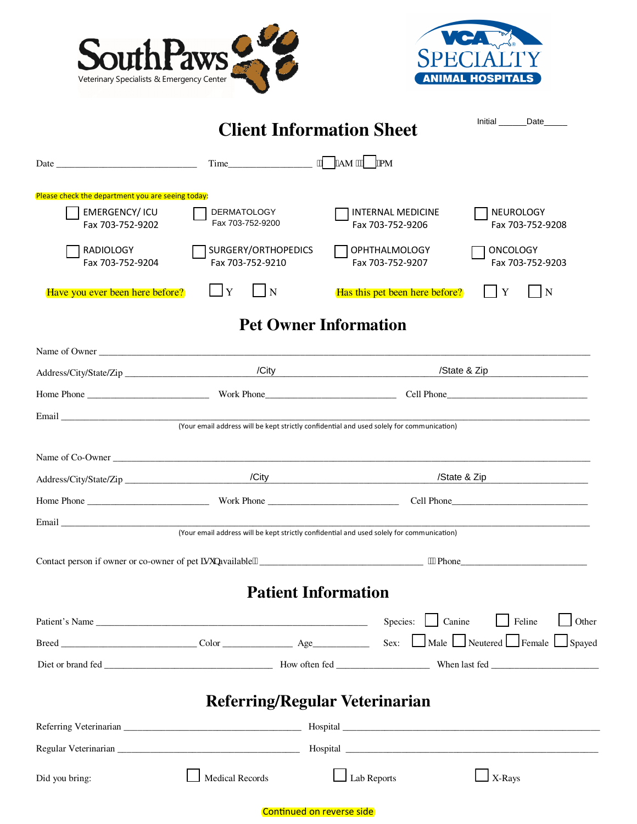



|                                                   |                                         | <b>Client Information Sheet</b>                                                           | Initial Date                                                                             |  |
|---------------------------------------------------|-----------------------------------------|-------------------------------------------------------------------------------------------|------------------------------------------------------------------------------------------|--|
|                                                   |                                         |                                                                                           |                                                                                          |  |
| Please check the department you are seeing today: |                                         |                                                                                           |                                                                                          |  |
| <b>EMERGENCY/ICU</b><br>Fax 703-752-9202          | <b>DERMATOLOGY</b><br>Fax 703-752-9200  | <b>INTERNAL MEDICINE</b><br>Fax 703-752-9206                                              | <b>NEUROLOGY</b><br>Fax 703-752-9208                                                     |  |
| <b>RADIOLOGY</b><br>Fax 703-752-9204              | SURGERY/ORTHOPEDICS<br>Fax 703-752-9210 | <b>OPHTHALMOLOGY</b><br>Fax 703-752-9207                                                  | <b>ONCOLOGY</b><br>Fax 703-752-9203                                                      |  |
| Have you ever been here before?                   | Y<br>N                                  | Has this pet been here before?                                                            | $\overline{\mathbf{N}}$<br>Y                                                             |  |
|                                                   |                                         | <b>Pet Owner Information</b>                                                              |                                                                                          |  |
|                                                   |                                         |                                                                                           |                                                                                          |  |
|                                                   |                                         |                                                                                           | /State & Zip                                                                             |  |
|                                                   |                                         |                                                                                           | Home Phone <b>Example 2018</b> Work Phone <b>Cell Phone</b> Cell Phone <b>Cell Phone</b> |  |
|                                                   |                                         | (Your email address will be kept strictly confidential and used solely for communication) |                                                                                          |  |
|                                                   |                                         |                                                                                           |                                                                                          |  |
|                                                   |                                         |                                                                                           | /State & Zip<br><u> 1990 - Jan Barbara Barat, prima politik</u>                          |  |
|                                                   |                                         |                                                                                           |                                                                                          |  |
|                                                   |                                         |                                                                                           |                                                                                          |  |
|                                                   |                                         | (Your email address will be kept strictly confidential and used solely for communication) |                                                                                          |  |
|                                                   |                                         | ""Phone                                                                                   |                                                                                          |  |
|                                                   |                                         | <b>Patient Information</b>                                                                |                                                                                          |  |
| Patient's Name                                    |                                         | Species: <u>Lanine</u>                                                                    | Feline<br>Other                                                                          |  |
|                                                   |                                         |                                                                                           | Sex: Male Neutered Female Spayed                                                         |  |
|                                                   |                                         |                                                                                           |                                                                                          |  |
|                                                   |                                         |                                                                                           |                                                                                          |  |
|                                                   |                                         | <b>Referring/Regular Veterinarian</b>                                                     |                                                                                          |  |
|                                                   |                                         |                                                                                           |                                                                                          |  |
|                                                   |                                         |                                                                                           |                                                                                          |  |
| Did you bring:                                    | Medical Records                         | Lab Reports                                                                               | $X-Rays$                                                                                 |  |